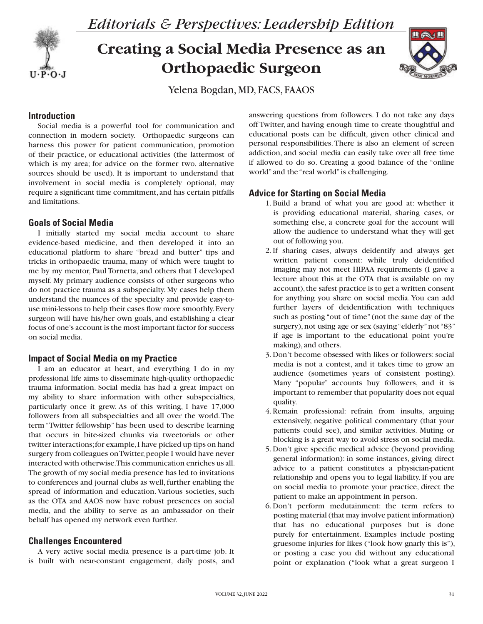

# **Creating a Social Media Presence as an Orthopaedic Surgeon**



Yelena Bogdan, MD, FACS, FAAOS

# **Introduction**

Social media is a powerful tool for communication and connection in modern society. Orthopaedic surgeons can harness this power for patient communication, promotion of their practice, or educational activities (the lattermost of which is my area; for advice on the former two, alternative sources should be used). It is important to understand that involvement in social media is completely optional, may require a significant time commitment, and has certain pitfalls and limitations.

#### **Goals of Social Media**

I initially started my social media account to share evidence-based medicine, and then developed it into an educational platform to share "bread and butter" tips and tricks in orthopaedic trauma, many of which were taught to me by my mentor, Paul Tornetta, and others that I developed myself. My primary audience consists of other surgeons who do not practice trauma as a subspecialty. My cases help them understand the nuances of the specialty and provide easy-touse mini-lessons to help their cases flow more smoothly. Every surgeon will have his/her own goals, and establishing a clear focus of one's account is the most important factor for success on social media.

#### **Impact of Social Media on my Practice**

I am an educator at heart, and everything I do in my professional life aims to disseminate high-quality orthopaedic trauma information. Social media has had a great impact on my ability to share information with other subspecialties, particularly once it grew. As of this writing, I have 17,000 followers from all subspecialties and all over the world. The term "Twitter fellowship" has been used to describe learning that occurs in bite-sized chunks via tweetorials or other twitter interactions; for example, I have picked up tips on hand surgery from colleagues on Twitter, people I would have never interacted with otherwise. This communication enriches us all. The growth of my social media presence has led to invitations to conferences and journal clubs as well, further enabling the spread of information and education. Various societies, such as the OTA and AAOS now have robust presences on social media, and the ability to serve as an ambassador on their behalf has opened my network even further.

# **Challenges Encountered**

A very active social media presence is a part-time job. It is built with near-constant engagement, daily posts, and

answering questions from followers. I do not take any days off Twitter, and having enough time to create thoughtful and educational posts can be difficult, given other clinical and personal responsibilities. There is also an element of screen addiction, and social media can easily take over all free time if allowed to do so. Creating a good balance of the "online world" and the "real world" is challenging.

### **Advice for Starting on Social Media**

- 1. Build a brand of what you are good at: whether it is providing educational material, sharing cases, or something else, a concrete goal for the account will allow the audience to understand what they will get out of following you.
- 2. If sharing cases, always deidentify and always get written patient consent: while truly deidentified imaging may not meet HIPAA requirements (I gave a lecture about this at the OTA that is available on my account), the safest practice is to get a written consent for anything you share on social media. You can add further layers of deidentification with techniques such as posting "out of time" (not the same day of the surgery), not using age or sex (saying "elderly" not "83" if age is important to the educational point you're making), and others.
- 3. Don't become obsessed with likes or followers: social media is not a contest, and it takes time to grow an audience (sometimes years of consistent posting). Many "popular" accounts buy followers, and it is important to remember that popularity does not equal quality.
- 4. Remain professional: refrain from insults, arguing extensively, negative political commentary (that your patients could see), and similar activities. Muting or blocking is a great way to avoid stress on social media.
- 5. Don't give specific medical advice (beyond providing general information): in some instances, giving direct advice to a patient constitutes a physician-patient relationship and opens you to legal liability. If you are on social media to promote your practice, direct the patient to make an appointment in person.
- 6. Don't perform medutainment: the term refers to posting material (that may involve patient information) that has no educational purposes but is done purely for entertainment. Examples include posting gruesome injuries for likes ("look how gnarly this is"), or posting a case you did without any educational point or explanation ("look what a great surgeon I